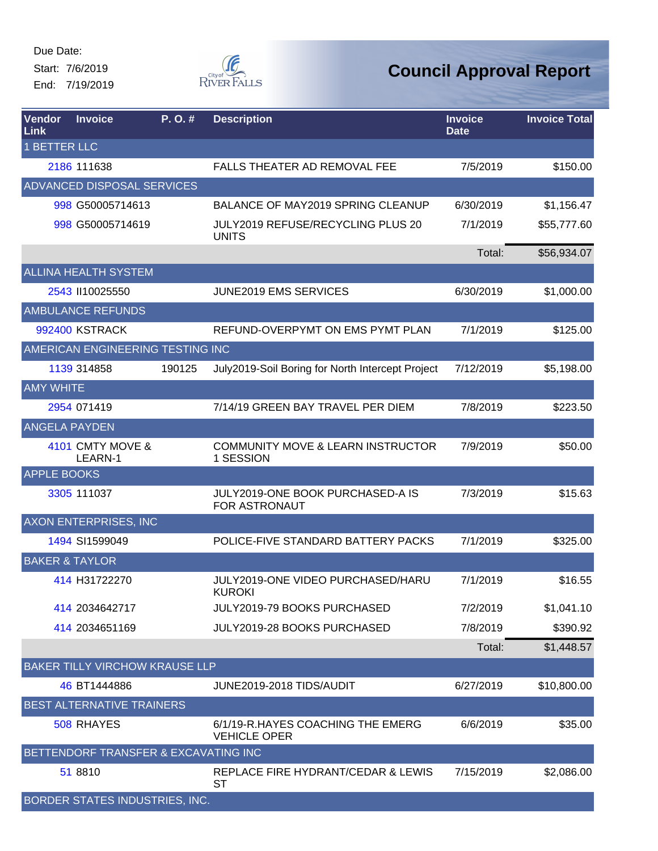Start: 7/6/2019 End: 7/19/2019



| Vendor<br>Link      | <b>Invoice</b>                        | P.O.#  | <b>Description</b>                                        | <b>Invoice</b><br><b>Date</b> | <b>Invoice Total</b> |
|---------------------|---------------------------------------|--------|-----------------------------------------------------------|-------------------------------|----------------------|
| <b>1 BETTER LLC</b> |                                       |        |                                                           |                               |                      |
|                     | 2186 111638                           |        | FALLS THEATER AD REMOVAL FEE                              | 7/5/2019                      | \$150.00             |
|                     | <b>ADVANCED DISPOSAL SERVICES</b>     |        |                                                           |                               |                      |
|                     | 998 G50005714613                      |        | BALANCE OF MAY2019 SPRING CLEANUP                         | 6/30/2019                     | \$1,156.47           |
|                     | 998 G50005714619                      |        | <b>JULY2019 REFUSE/RECYCLING PLUS 20</b><br><b>UNITS</b>  | 7/1/2019                      | \$55,777.60          |
|                     |                                       |        |                                                           | Total:                        | \$56,934.07          |
|                     | ALLINA HEALTH SYSTEM                  |        |                                                           |                               |                      |
|                     | 2543 II10025550                       |        | JUNE2019 EMS SERVICES                                     | 6/30/2019                     | \$1,000.00           |
|                     | <b>AMBULANCE REFUNDS</b>              |        |                                                           |                               |                      |
|                     | 992400 KSTRACK                        |        | REFUND-OVERPYMT ON EMS PYMT PLAN                          | 7/1/2019                      | \$125.00             |
|                     | AMERICAN ENGINEERING TESTING INC      |        |                                                           |                               |                      |
|                     | 1139 314858                           | 190125 | July2019-Soil Boring for North Intercept Project          | 7/12/2019                     | \$5,198.00           |
| <b>AMY WHITE</b>    |                                       |        |                                                           |                               |                      |
|                     | 2954 071419                           |        | 7/14/19 GREEN BAY TRAVEL PER DIEM                         | 7/8/2019                      | \$223.50             |
|                     | <b>ANGELA PAYDEN</b>                  |        |                                                           |                               |                      |
|                     | 4101 CMTY MOVE &<br>LEARN-1           |        | <b>COMMUNITY MOVE &amp; LEARN INSTRUCTOR</b><br>1 SESSION | 7/9/2019                      | \$50.00              |
| <b>APPLE BOOKS</b>  |                                       |        |                                                           |                               |                      |
|                     | 3305 111037                           |        | JULY2019-ONE BOOK PURCHASED-A IS<br>FOR ASTRONAUT         | 7/3/2019                      | \$15.63              |
|                     | <b>AXON ENTERPRISES, INC</b>          |        |                                                           |                               |                      |
|                     | 1494 SI1599049                        |        | POLICE-FIVE STANDARD BATTERY PACKS                        | 7/1/2019                      | \$325.00             |
|                     | <b>BAKER &amp; TAYLOR</b>             |        |                                                           |                               |                      |
|                     | 414 H31722270                         |        | JULY2019-ONE VIDEO PURCHASED/HARU<br><b>KUROKI</b>        | 7/1/2019                      | \$16.55              |
|                     | 414 2034642717                        |        | JULY2019-79 BOOKS PURCHASED                               | 7/2/2019                      | \$1,041.10           |
|                     | 414 2034651169                        |        | <b>JULY2019-28 BOOKS PURCHASED</b>                        | 7/8/2019                      | \$390.92             |
|                     |                                       |        |                                                           | Total:                        | \$1,448.57           |
|                     | <b>BAKER TILLY VIRCHOW KRAUSE LLP</b> |        |                                                           |                               |                      |
|                     | 46 BT1444886                          |        | JUNE2019-2018 TIDS/AUDIT                                  | 6/27/2019                     | \$10,800.00          |
|                     | BEST ALTERNATIVE TRAINERS             |        |                                                           |                               |                      |
|                     | 508 RHAYES                            |        | 6/1/19-R.HAYES COACHING THE EMERG<br><b>VEHICLE OPER</b>  | 6/6/2019                      | \$35.00              |
|                     | BETTENDORF TRANSFER & EXCAVATING INC  |        |                                                           |                               |                      |
|                     | 51 8810                               |        | REPLACE FIRE HYDRANT/CEDAR & LEWIS<br><b>ST</b>           | 7/15/2019                     | \$2,086.00           |
|                     | <b>BORDER STATES INDUSTRIES, INC.</b> |        |                                                           |                               |                      |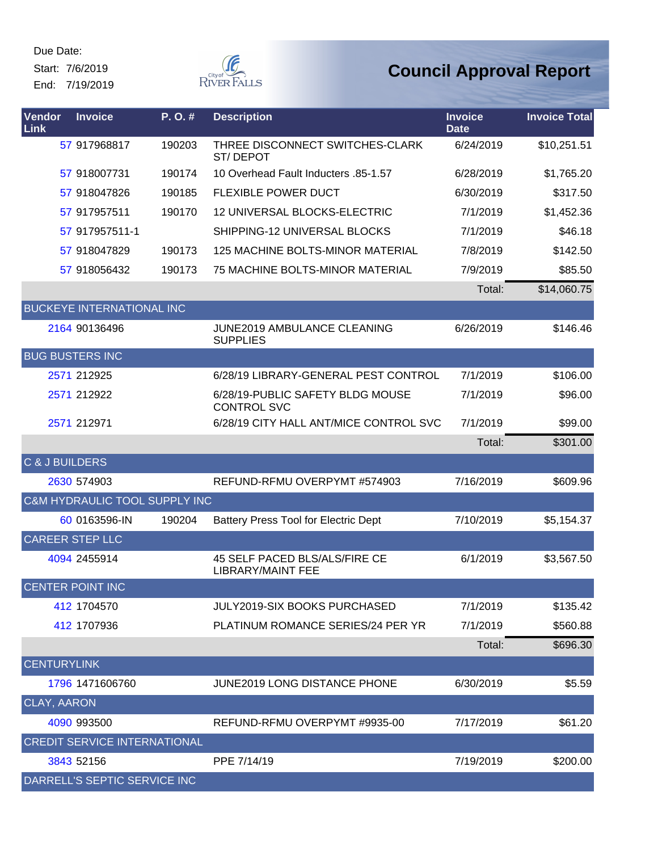Start: 7/6/2019

End: 7/19/2019



| Vendor<br>Link     | <b>Invoice</b>                      | P.O.#  | <b>Description</b>                                        | <b>Invoice</b><br><b>Date</b> | <b>Invoice Total</b> |
|--------------------|-------------------------------------|--------|-----------------------------------------------------------|-------------------------------|----------------------|
|                    | 57 917968817                        | 190203 | THREE DISCONNECT SWITCHES-CLARK<br><b>ST/DEPOT</b>        | 6/24/2019                     | \$10,251.51          |
|                    | 57 918007731                        | 190174 | 10 Overhead Fault Inducters .85-1.57                      | 6/28/2019                     | \$1,765.20           |
|                    | 57 918047826                        | 190185 | <b>FLEXIBLE POWER DUCT</b>                                | 6/30/2019                     | \$317.50             |
|                    | 57 917957511                        | 190170 | 12 UNIVERSAL BLOCKS-ELECTRIC                              | 7/1/2019                      | \$1,452.36           |
|                    | 57 917957511-1                      |        | SHIPPING-12 UNIVERSAL BLOCKS                              | 7/1/2019                      | \$46.18              |
|                    | 57 918047829                        | 190173 | 125 MACHINE BOLTS-MINOR MATERIAL                          | 7/8/2019                      | \$142.50             |
|                    | 57 918056432                        | 190173 | 75 MACHINE BOLTS-MINOR MATERIAL                           | 7/9/2019                      | \$85.50              |
|                    |                                     |        |                                                           | Total:                        | \$14,060.75          |
|                    | <b>BUCKEYE INTERNATIONAL INC</b>    |        |                                                           |                               |                      |
|                    | 2164 90136496                       |        | <b>JUNE2019 AMBULANCE CLEANING</b><br><b>SUPPLIES</b>     | 6/26/2019                     | \$146.46             |
|                    | <b>BUG BUSTERS INC</b>              |        |                                                           |                               |                      |
|                    | 2571 212925                         |        | 6/28/19 LIBRARY-GENERAL PEST CONTROL                      | 7/1/2019                      | \$106.00             |
|                    | 2571 212922                         |        | 6/28/19-PUBLIC SAFETY BLDG MOUSE<br><b>CONTROL SVC</b>    | 7/1/2019                      | \$96.00              |
|                    | 2571 212971                         |        | 6/28/19 CITY HALL ANT/MICE CONTROL SVC                    | 7/1/2019                      | \$99.00              |
|                    |                                     |        |                                                           | Total:                        | \$301.00             |
| C & J BUILDERS     |                                     |        |                                                           |                               |                      |
|                    | 2630 574903                         |        | REFUND-RFMU OVERPYMT #574903                              | 7/16/2019                     | \$609.96             |
|                    | C&M HYDRAULIC TOOL SUPPLY INC       |        |                                                           |                               |                      |
|                    | 60 0163596-IN                       | 190204 | <b>Battery Press Tool for Electric Dept</b>               | 7/10/2019                     | \$5,154.37           |
|                    | <b>CAREER STEP LLC</b>              |        |                                                           |                               |                      |
|                    | 4094 2455914                        |        | 45 SELF PACED BLS/ALS/FIRE CE<br><b>LIBRARY/MAINT FEE</b> | 6/1/2019                      | \$3,567.50           |
|                    | CENTER POINT INC                    |        |                                                           |                               |                      |
|                    | 412 1704570                         |        | JULY2019-SIX BOOKS PURCHASED                              | 7/1/2019                      | \$135.42             |
|                    | 412 1707936                         |        | PLATINUM ROMANCE SERIES/24 PER YR                         | 7/1/2019                      | \$560.88             |
|                    |                                     |        |                                                           | Total:                        | \$696.30             |
| <b>CENTURYLINK</b> |                                     |        |                                                           |                               |                      |
|                    | 1796 1471606760                     |        | <b>JUNE2019 LONG DISTANCE PHONE</b>                       | 6/30/2019                     | \$5.59               |
| <b>CLAY, AARON</b> |                                     |        |                                                           |                               |                      |
|                    | 4090 993500                         |        | REFUND-RFMU OVERPYMT #9935-00                             | 7/17/2019                     | \$61.20              |
|                    | <b>CREDIT SERVICE INTERNATIONAL</b> |        |                                                           |                               |                      |
|                    | 3843 52156                          |        | PPE 7/14/19                                               | 7/19/2019                     | \$200.00             |
|                    | DARRELL'S SEPTIC SERVICE INC        |        |                                                           |                               |                      |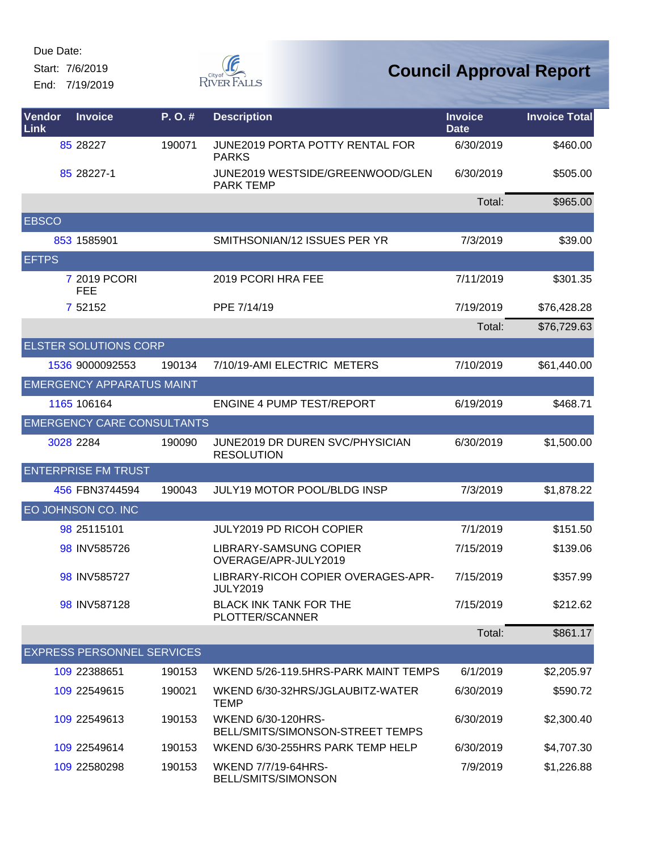Start: 7/6/2019

End: 7/19/2019



| Vendor<br>Link | <b>Invoice</b>                    | P. O. # | <b>Description</b>                                            | <b>Invoice</b><br><b>Date</b> | <b>Invoice Total</b> |
|----------------|-----------------------------------|---------|---------------------------------------------------------------|-------------------------------|----------------------|
|                | 85 28227                          | 190071  | <b>JUNE2019 PORTA POTTY RENTAL FOR</b><br><b>PARKS</b>        | 6/30/2019                     | \$460.00             |
|                | 85 28227-1                        |         | JUNE2019 WESTSIDE/GREENWOOD/GLEN<br><b>PARK TEMP</b>          | 6/30/2019                     | \$505.00             |
|                |                                   |         |                                                               | Total:                        | \$965.00             |
| <b>EBSCO</b>   |                                   |         |                                                               |                               |                      |
|                | 853 1585901                       |         | SMITHSONIAN/12 ISSUES PER YR                                  | 7/3/2019                      | \$39.00              |
| <b>EFTPS</b>   |                                   |         |                                                               |                               |                      |
|                | 7 2019 PCORI<br><b>FEE</b>        |         | 2019 PCORI HRA FEE                                            | 7/11/2019                     | \$301.35             |
|                | 7 52152                           |         | PPE 7/14/19                                                   | 7/19/2019                     | \$76,428.28          |
|                |                                   |         |                                                               | Total:                        | \$76,729.63          |
|                | <b>ELSTER SOLUTIONS CORP</b>      |         |                                                               |                               |                      |
|                | 1536 9000092553                   | 190134  | 7/10/19-AMI ELECTRIC METERS                                   | 7/10/2019                     | \$61,440.00          |
|                | <b>EMERGENCY APPARATUS MAINT</b>  |         |                                                               |                               |                      |
|                | 1165 106164                       |         | <b>ENGINE 4 PUMP TEST/REPORT</b>                              | 6/19/2019                     | \$468.71             |
|                | <b>EMERGENCY CARE CONSULTANTS</b> |         |                                                               |                               |                      |
|                | 3028 2284                         | 190090  | <b>JUNE2019 DR DUREN SVC/PHYSICIAN</b><br><b>RESOLUTION</b>   | 6/30/2019                     | \$1,500.00           |
|                | <b>ENTERPRISE FM TRUST</b>        |         |                                                               |                               |                      |
|                | 456 FBN3744594                    | 190043  | JULY19 MOTOR POOL/BLDG INSP                                   | 7/3/2019                      | \$1,878.22           |
|                | EO JOHNSON CO. INC                |         |                                                               |                               |                      |
|                | 98 25115101                       |         | <b>JULY2019 PD RICOH COPIER</b>                               | 7/1/2019                      | \$151.50             |
|                | 98 INV585726                      |         | LIBRARY-SAMSUNG COPIER<br>OVERAGE/APR-JULY2019                | 7/15/2019                     | \$139.06             |
|                | 98 INV585727                      |         | LIBRARY-RICOH COPIER OVERAGES-APR-<br><b>JULY2019</b>         | 7/15/2019                     | \$357.99             |
|                | 98 INV587128                      |         | <b>BLACK INK TANK FOR THE</b><br>PLOTTER/SCANNER              | 7/15/2019                     | \$212.62             |
|                |                                   |         |                                                               | Total:                        | \$861.17             |
|                | <b>EXPRESS PERSONNEL SERVICES</b> |         |                                                               |                               |                      |
|                | 109 22388651                      | 190153  | WKEND 5/26-119.5HRS-PARK MAINT TEMPS                          | 6/1/2019                      | \$2,205.97           |
|                | 109 22549615                      | 190021  | WKEND 6/30-32HRS/JGLAUBITZ-WATER<br><b>TEMP</b>               | 6/30/2019                     | \$590.72             |
|                | 109 22549613                      | 190153  | <b>WKEND 6/30-120HRS-</b><br>BELL/SMITS/SIMONSON-STREET TEMPS | 6/30/2019                     | \$2,300.40           |
|                | 109 22549614                      | 190153  | WKEND 6/30-255HRS PARK TEMP HELP                              | 6/30/2019                     | \$4,707.30           |
|                | 109 22580298                      | 190153  | WKEND 7/7/19-64HRS-<br>BELL/SMITS/SIMONSON                    | 7/9/2019                      | \$1,226.88           |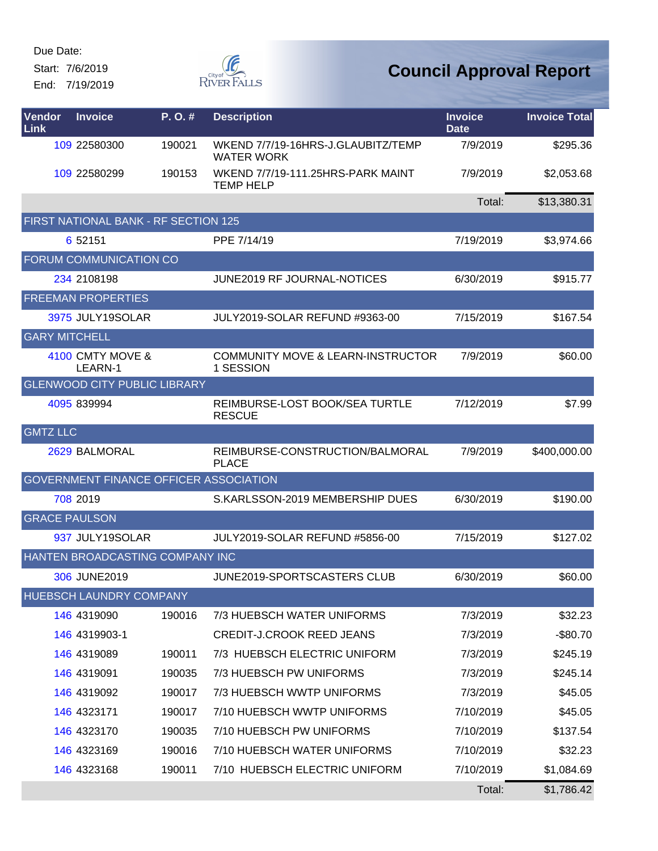Start: 7/6/2019

End: 7/19/2019



| Vendor<br><b>Link</b> | <b>Invoice</b>                                | $P. O.$ # | <b>Description</b>                                        | <b>Invoice</b><br><b>Date</b> | <b>Invoice Total</b> |
|-----------------------|-----------------------------------------------|-----------|-----------------------------------------------------------|-------------------------------|----------------------|
|                       | 109 22580300                                  | 190021    | WKEND 7/7/19-16HRS-J.GLAUBITZ/TEMP<br><b>WATER WORK</b>   | 7/9/2019                      | \$295.36             |
|                       | 109 22580299                                  | 190153    | WKEND 7/7/19-111.25HRS-PARK MAINT<br><b>TEMP HELP</b>     | 7/9/2019                      | \$2,053.68           |
|                       |                                               |           |                                                           | Total:                        | \$13,380.31          |
|                       | FIRST NATIONAL BANK - RF SECTION 125          |           |                                                           |                               |                      |
|                       | 6 52151                                       |           | PPE 7/14/19                                               | 7/19/2019                     | \$3,974.66           |
|                       | <b>FORUM COMMUNICATION CO</b>                 |           |                                                           |                               |                      |
|                       | 234 2108198                                   |           | <b>JUNE2019 RF JOURNAL-NOTICES</b>                        | 6/30/2019                     | \$915.77             |
|                       | <b>FREEMAN PROPERTIES</b>                     |           |                                                           |                               |                      |
|                       | 3975 JULY19SOLAR                              |           | JULY2019-SOLAR REFUND #9363-00                            | 7/15/2019                     | \$167.54             |
| <b>GARY MITCHELL</b>  |                                               |           |                                                           |                               |                      |
|                       | 4100 CMTY MOVE &<br>LEARN-1                   |           | <b>COMMUNITY MOVE &amp; LEARN-INSTRUCTOR</b><br>1 SESSION | 7/9/2019                      | \$60.00              |
|                       | <b>GLENWOOD CITY PUBLIC LIBRARY</b>           |           |                                                           |                               |                      |
|                       | 4095 839994                                   |           | REIMBURSE-LOST BOOK/SEA TURTLE<br><b>RESCUE</b>           | 7/12/2019                     | \$7.99               |
| <b>GMTZ LLC</b>       |                                               |           |                                                           |                               |                      |
|                       | 2629 BALMORAL                                 |           | REIMBURSE-CONSTRUCTION/BALMORAL<br><b>PLACE</b>           | 7/9/2019                      | \$400,000.00         |
|                       | <b>GOVERNMENT FINANCE OFFICER ASSOCIATION</b> |           |                                                           |                               |                      |
|                       | 708 2019                                      |           | S.KARLSSON-2019 MEMBERSHIP DUES                           | 6/30/2019                     | \$190.00             |
|                       | <b>GRACE PAULSON</b>                          |           |                                                           |                               |                      |
|                       | 937 JULY19SOLAR                               |           | JULY2019-SOLAR REFUND #5856-00                            | 7/15/2019                     | \$127.02             |
|                       | HANTEN BROADCASTING COMPANY INC               |           |                                                           |                               |                      |
|                       | 306 JUNE2019                                  |           | JUNE2019-SPORTSCASTERS CLUB                               | 6/30/2019                     | \$60.00              |
|                       | HUEBSCH LAUNDRY COMPANY                       |           |                                                           |                               |                      |
|                       | 146 4319090                                   | 190016    | 7/3 HUEBSCH WATER UNIFORMS                                | 7/3/2019                      | \$32.23              |
|                       | 146 4319903-1                                 |           | <b>CREDIT-J.CROOK REED JEANS</b>                          | 7/3/2019                      | $-$80.70$            |
|                       | 146 4319089                                   | 190011    | 7/3 HUEBSCH ELECTRIC UNIFORM                              | 7/3/2019                      | \$245.19             |
|                       | 146 4319091                                   | 190035    | 7/3 HUEBSCH PW UNIFORMS                                   | 7/3/2019                      | \$245.14             |
|                       | 146 4319092                                   | 190017    | 7/3 HUEBSCH WWTP UNIFORMS                                 | 7/3/2019                      | \$45.05              |
|                       | 146 4323171                                   | 190017    | 7/10 HUEBSCH WWTP UNIFORMS                                | 7/10/2019                     | \$45.05              |
|                       | 146 4323170                                   | 190035    | 7/10 HUEBSCH PW UNIFORMS                                  | 7/10/2019                     | \$137.54             |
|                       | 146 4323169                                   | 190016    | 7/10 HUEBSCH WATER UNIFORMS                               | 7/10/2019                     | \$32.23              |
|                       | 146 4323168                                   | 190011    | 7/10 HUEBSCH ELECTRIC UNIFORM                             | 7/10/2019                     | \$1,084.69           |
|                       |                                               |           |                                                           | Total:                        | \$1,786.42           |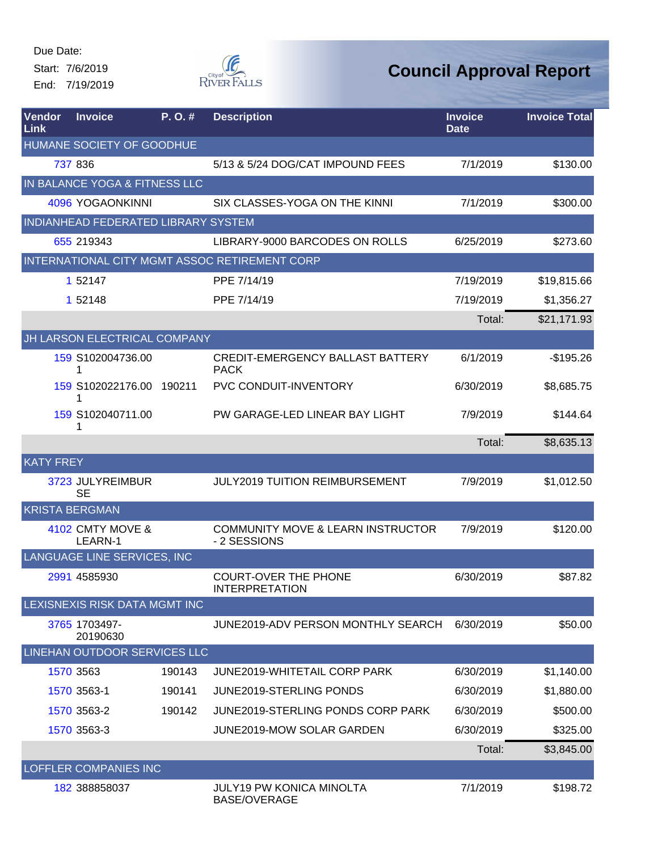Start: 7/6/2019 End: 7/19/2019



| <b>Vendor</b><br>Link | <b>Invoice</b>                      | P. O. # | <b>Description</b>                                           | <b>Invoice</b><br><b>Date</b> | <b>Invoice Total</b> |
|-----------------------|-------------------------------------|---------|--------------------------------------------------------------|-------------------------------|----------------------|
|                       | HUMANE SOCIETY OF GOODHUE           |         |                                                              |                               |                      |
|                       | 737 836                             |         | 5/13 & 5/24 DOG/CAT IMPOUND FEES                             | 7/1/2019                      | \$130.00             |
|                       | IN BALANCE YOGA & FITNESS LLC       |         |                                                              |                               |                      |
|                       | 4096 YOGAONKINNI                    |         | SIX CLASSES-YOGA ON THE KINNI                                | 7/1/2019                      | \$300.00             |
|                       | INDIANHEAD FEDERATED LIBRARY SYSTEM |         |                                                              |                               |                      |
|                       | 655 219343                          |         | LIBRARY-9000 BARCODES ON ROLLS                               | 6/25/2019                     | \$273.60             |
|                       |                                     |         | INTERNATIONAL CITY MGMT ASSOC RETIREMENT CORP                |                               |                      |
|                       | 1 52147                             |         | PPE 7/14/19                                                  | 7/19/2019                     | \$19,815.66          |
|                       | 1 52148                             |         | PPE 7/14/19                                                  | 7/19/2019                     | \$1,356.27           |
|                       |                                     |         |                                                              | Total:                        | \$21,171.93          |
|                       | JH LARSON ELECTRICAL COMPANY        |         |                                                              |                               |                      |
|                       | 159 S102004736.00<br>1              |         | <b>CREDIT-EMERGENCY BALLAST BATTERY</b><br><b>PACK</b>       | 6/1/2019                      | $-$195.26$           |
|                       | 159 S102022176.00 190211<br>1       |         | <b>PVC CONDUIT-INVENTORY</b>                                 | 6/30/2019                     | \$8,685.75           |
|                       | 159 S102040711.00<br>1              |         | PW GARAGE-LED LINEAR BAY LIGHT                               | 7/9/2019                      | \$144.64             |
|                       |                                     |         |                                                              | Total:                        | \$8,635.13           |
| <b>KATY FREY</b>      |                                     |         |                                                              |                               |                      |
|                       | 3723 JULYREIMBUR<br><b>SE</b>       |         | JULY2019 TUITION REIMBURSEMENT                               | 7/9/2019                      | \$1,012.50           |
| <b>KRISTA BERGMAN</b> |                                     |         |                                                              |                               |                      |
|                       | 4102 CMTY MOVE &<br>LEARN-1         |         | <b>COMMUNITY MOVE &amp; LEARN INSTRUCTOR</b><br>- 2 SESSIONS | 7/9/2019                      | \$120.00             |
|                       | LANGUAGE LINE SERVICES, INC         |         |                                                              |                               |                      |
|                       | 2991 4585930                        |         | <b>COURT-OVER THE PHONE</b><br><b>INTERPRETATION</b>         | 6/30/2019                     | \$87.82              |
|                       | LEXISNEXIS RISK DATA MGMT INC       |         |                                                              |                               |                      |
|                       | 3765 1703497-<br>20190630           |         | JUNE2019-ADV PERSON MONTHLY SEARCH                           | 6/30/2019                     | \$50.00              |
|                       | LINEHAN OUTDOOR SERVICES LLC        |         |                                                              |                               |                      |
|                       | 1570 3563                           | 190143  | JUNE2019-WHITETAIL CORP PARK                                 | 6/30/2019                     | \$1,140.00           |
|                       | 1570 3563-1                         | 190141  | <b>JUNE2019-STERLING PONDS</b>                               | 6/30/2019                     | \$1,880.00           |
|                       | 1570 3563-2                         | 190142  | JUNE2019-STERLING PONDS CORP PARK                            | 6/30/2019                     | \$500.00             |
|                       | 1570 3563-3                         |         | <b>JUNE2019-MOW SOLAR GARDEN</b>                             | 6/30/2019                     | \$325.00             |
|                       |                                     |         |                                                              | Total:                        | \$3,845.00           |
|                       | <b>LOFFLER COMPANIES INC</b>        |         |                                                              |                               |                      |
|                       | 182 388858037                       |         | JULY19 PW KONICA MINOLTA<br><b>BASE/OVERAGE</b>              | 7/1/2019                      | \$198.72             |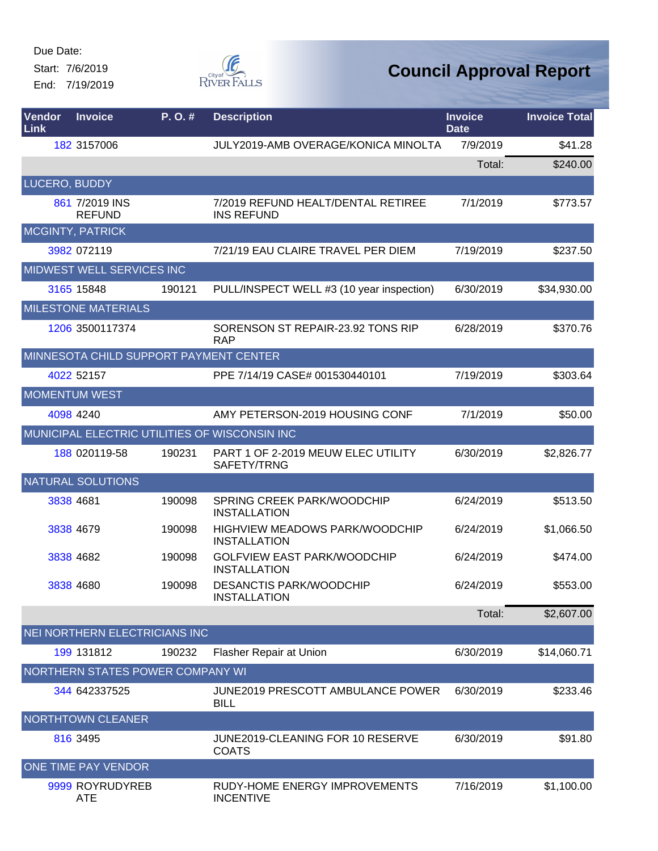Start: 7/6/2019 End: 7/19/2019



| Vendor<br>Link | <b>Invoice</b>                         | P.O.#  | <b>Description</b>                                        | <b>Invoice</b><br><b>Date</b> | <b>Invoice Total</b> |
|----------------|----------------------------------------|--------|-----------------------------------------------------------|-------------------------------|----------------------|
|                | 182 3157006                            |        | JULY2019-AMB OVERAGE/KONICA MINOLTA                       | 7/9/2019                      | \$41.28              |
|                |                                        |        |                                                           | Total:                        | \$240.00             |
| LUCERO, BUDDY  |                                        |        |                                                           |                               |                      |
|                | 861 7/2019 INS<br><b>REFUND</b>        |        | 7/2019 REFUND HEALT/DENTAL RETIREE<br><b>INS REFUND</b>   | 7/1/2019                      | \$773.57             |
|                | <b>MCGINTY, PATRICK</b>                |        |                                                           |                               |                      |
|                | 3982 072119                            |        | 7/21/19 EAU CLAIRE TRAVEL PER DIEM                        | 7/19/2019                     | \$237.50             |
|                | MIDWEST WELL SERVICES INC              |        |                                                           |                               |                      |
|                | 3165 15848                             | 190121 | PULL/INSPECT WELL #3 (10 year inspection)                 | 6/30/2019                     | \$34,930.00          |
|                | <b>MILESTONE MATERIALS</b>             |        |                                                           |                               |                      |
|                | 1206 3500117374                        |        | SORENSON ST REPAIR-23.92 TONS RIP<br><b>RAP</b>           | 6/28/2019                     | \$370.76             |
|                | MINNESOTA CHILD SUPPORT PAYMENT CENTER |        |                                                           |                               |                      |
|                | 4022 52157                             |        | PPE 7/14/19 CASE# 001530440101                            | 7/19/2019                     | \$303.64             |
|                | <b>MOMENTUM WEST</b>                   |        |                                                           |                               |                      |
|                | 4098 4240                              |        | AMY PETERSON-2019 HOUSING CONF                            | 7/1/2019                      | \$50.00              |
|                |                                        |        | MUNICIPAL ELECTRIC UTILITIES OF WISCONSIN INC             |                               |                      |
|                | 188 020119-58                          | 190231 | PART 1 OF 2-2019 MEUW ELEC UTILITY<br>SAFETY/TRNG         | 6/30/2019                     | \$2,826.77           |
|                | <b>NATURAL SOLUTIONS</b>               |        |                                                           |                               |                      |
|                | 3838 4681                              | 190098 | SPRING CREEK PARK/WOODCHIP<br><b>INSTALLATION</b>         | 6/24/2019                     | \$513.50             |
|                | 3838 4679                              | 190098 | HIGHVIEW MEADOWS PARK/WOODCHIP<br><b>INSTALLATION</b>     | 6/24/2019                     | \$1,066.50           |
|                | 3838 4682                              | 190098 | <b>GOLFVIEW EAST PARK/WOODCHIP</b><br><b>INSTALLATION</b> | 6/24/2019                     | \$474.00             |
|                | 3838 4680                              | 190098 | <b>DESANCTIS PARK/WOODCHIP</b><br><b>INSTALLATION</b>     | 6/24/2019                     | \$553.00             |
|                |                                        |        |                                                           | Total:                        | \$2,607.00           |
|                | NEI NORTHERN ELECTRICIANS INC          |        |                                                           |                               |                      |
|                | 199 131812                             | 190232 | Flasher Repair at Union                                   | 6/30/2019                     | \$14,060.71          |
|                | NORTHERN STATES POWER COMPANY WI       |        |                                                           |                               |                      |
|                | 344 642337525                          |        | JUNE2019 PRESCOTT AMBULANCE POWER<br><b>BILL</b>          | 6/30/2019                     | \$233.46             |
|                | NORTHTOWN CLEANER                      |        |                                                           |                               |                      |
|                | 816 3495                               |        | JUNE2019-CLEANING FOR 10 RESERVE<br><b>COATS</b>          | 6/30/2019                     | \$91.80              |
|                | ONE TIME PAY VENDOR                    |        |                                                           |                               |                      |
|                | 9999 ROYRUDYREB<br><b>ATE</b>          |        | RUDY-HOME ENERGY IMPROVEMENTS<br><b>INCENTIVE</b>         | 7/16/2019                     | \$1,100.00           |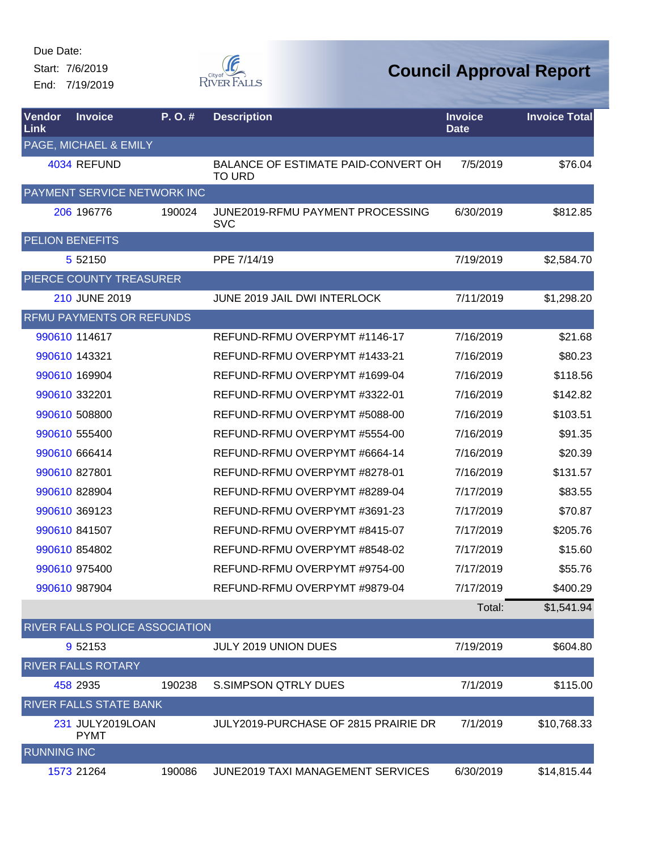Start: 7/6/2019 End: 7/19/2019



| Vendor<br>Link     | <b>Invoice</b>                  | P.O.#  | <b>Description</b>                                          | <b>Invoice</b><br><b>Date</b> | <b>Invoice Total</b> |
|--------------------|---------------------------------|--------|-------------------------------------------------------------|-------------------------------|----------------------|
|                    | PAGE, MICHAEL & EMILY           |        |                                                             |                               |                      |
|                    | 4034 REFUND                     |        | <b>BALANCE OF ESTIMATE PAID-CONVERT OH</b><br><b>TO URD</b> | 7/5/2019                      | \$76.04              |
|                    | PAYMENT SERVICE NETWORK INC     |        |                                                             |                               |                      |
|                    | 206 196776                      | 190024 | JUNE2019-RFMU PAYMENT PROCESSING<br><b>SVC</b>              | 6/30/2019                     | \$812.85             |
|                    | <b>PELION BENEFITS</b>          |        |                                                             |                               |                      |
|                    | 5 5 2 1 5 0                     |        | PPE 7/14/19                                                 | 7/19/2019                     | \$2,584.70           |
|                    | PIERCE COUNTY TREASURER         |        |                                                             |                               |                      |
|                    | 210 JUNE 2019                   |        | JUNE 2019 JAIL DWI INTERLOCK                                | 7/11/2019                     | \$1,298.20           |
|                    | <b>RFMU PAYMENTS OR REFUNDS</b> |        |                                                             |                               |                      |
|                    | 990610 114617                   |        | REFUND-RFMU OVERPYMT #1146-17                               | 7/16/2019                     | \$21.68              |
|                    | 990610 143321                   |        | REFUND-RFMU OVERPYMT #1433-21                               | 7/16/2019                     | \$80.23              |
|                    | 990610 169904                   |        | REFUND-RFMU OVERPYMT #1699-04                               | 7/16/2019                     | \$118.56             |
|                    | 990610 332201                   |        | REFUND-RFMU OVERPYMT #3322-01                               | 7/16/2019                     | \$142.82             |
|                    | 990610 508800                   |        | REFUND-RFMU OVERPYMT #5088-00                               | 7/16/2019                     | \$103.51             |
|                    | 990610 555400                   |        | REFUND-RFMU OVERPYMT #5554-00                               | 7/16/2019                     | \$91.35              |
|                    | 990610 666414                   |        | REFUND-RFMU OVERPYMT #6664-14                               | 7/16/2019                     | \$20.39              |
|                    | 990610 827801                   |        | REFUND-RFMU OVERPYMT #8278-01                               | 7/16/2019                     | \$131.57             |
|                    | 990610 828904                   |        | REFUND-RFMU OVERPYMT #8289-04                               | 7/17/2019                     | \$83.55              |
|                    | 990610 369123                   |        | REFUND-RFMU OVERPYMT #3691-23                               | 7/17/2019                     | \$70.87              |
|                    | 990610 841507                   |        | REFUND-RFMU OVERPYMT #8415-07                               | 7/17/2019                     | \$205.76             |
|                    | 990610 854802                   |        | REFUND-RFMU OVERPYMT #8548-02                               | 7/17/2019                     | \$15.60              |
|                    | 990610 975400                   |        | REFUND-RFMU OVERPYMT #9754-00                               | 7/17/2019                     | \$55.76              |
|                    | 990610 987904                   |        | REFUND-RFMU OVERPYMT #9879-04                               | 7/17/2019                     | \$400.29             |
|                    |                                 |        |                                                             | Total:                        | \$1,541.94           |
|                    | RIVER FALLS POLICE ASSOCIATION  |        |                                                             |                               |                      |
|                    | 9 52153                         |        | <b>JULY 2019 UNION DUES</b>                                 | 7/19/2019                     | \$604.80             |
|                    | <b>RIVER FALLS ROTARY</b>       |        |                                                             |                               |                      |
|                    | 458 2935                        | 190238 | <b>S.SIMPSON QTRLY DUES</b>                                 | 7/1/2019                      | \$115.00             |
|                    | RIVER FALLS STATE BANK          |        |                                                             |                               |                      |
|                    | 231 JULY2019LOAN<br><b>PYMT</b> |        | JULY2019-PURCHASE OF 2815 PRAIRIE DR                        | 7/1/2019                      | \$10,768.33          |
| <b>RUNNING INC</b> |                                 |        |                                                             |                               |                      |
|                    | 1573 21264                      | 190086 | JUNE2019 TAXI MANAGEMENT SERVICES                           | 6/30/2019                     | \$14,815.44          |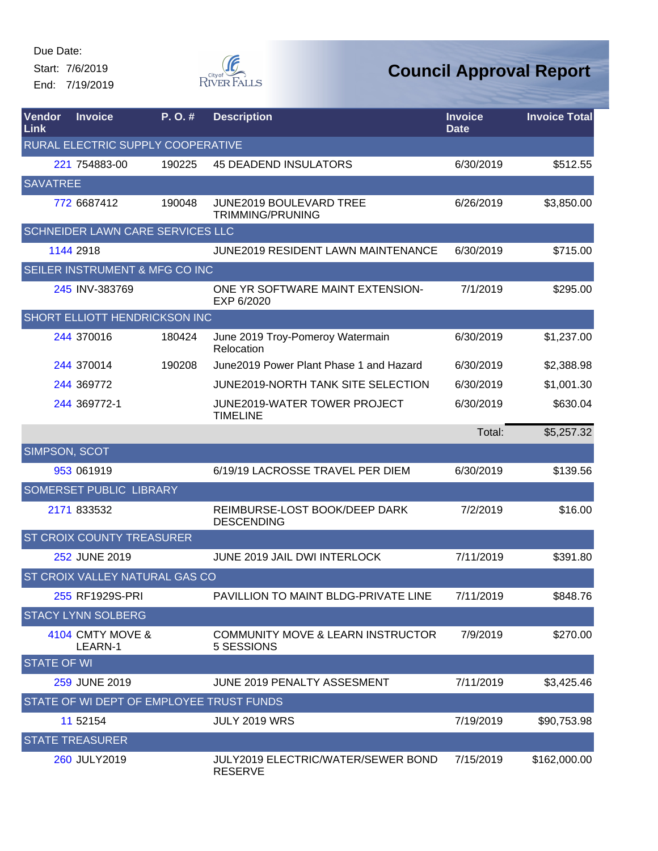Start: 7/6/2019

End: 7/19/2019



| <b>Vendor</b><br><b>Link</b> | <b>Invoice</b>                           | $P. O.$ # | <b>Description</b>                                         | <b>Invoice</b><br><b>Date</b> | <b>Invoice Total</b> |
|------------------------------|------------------------------------------|-----------|------------------------------------------------------------|-------------------------------|----------------------|
|                              | RURAL ELECTRIC SUPPLY COOPERATIVE        |           |                                                            |                               |                      |
|                              | 221 754883-00                            | 190225    | <b>45 DEADEND INSULATORS</b>                               | 6/30/2019                     | \$512.55             |
| <b>SAVATREE</b>              |                                          |           |                                                            |                               |                      |
|                              | 772 6687412                              | 190048    | <b>JUNE2019 BOULEVARD TREE</b><br>TRIMMING/PRUNING         | 6/26/2019                     | \$3,850.00           |
|                              | SCHNEIDER LAWN CARE SERVICES LLC         |           |                                                            |                               |                      |
|                              | 1144 2918                                |           | <b>JUNE2019 RESIDENT LAWN MAINTENANCE</b>                  | 6/30/2019                     | \$715.00             |
|                              | SEILER INSTRUMENT & MFG CO INC           |           |                                                            |                               |                      |
|                              | 245 INV-383769                           |           | ONE YR SOFTWARE MAINT EXTENSION-<br>EXP 6/2020             | 7/1/2019                      | \$295.00             |
|                              | <b>SHORT ELLIOTT HENDRICKSON INC</b>     |           |                                                            |                               |                      |
|                              | 244 370016                               | 180424    | June 2019 Troy-Pomeroy Watermain<br>Relocation             | 6/30/2019                     | \$1,237.00           |
|                              | 244 370014                               | 190208    | June 2019 Power Plant Phase 1 and Hazard                   | 6/30/2019                     | \$2,388.98           |
|                              | 244 369772                               |           | JUNE2019-NORTH TANK SITE SELECTION                         | 6/30/2019                     | \$1,001.30           |
|                              | 244 369772-1                             |           | JUNE2019-WATER TOWER PROJECT<br><b>TIMELINE</b>            | 6/30/2019                     | \$630.04             |
|                              |                                          |           |                                                            | Total:                        | \$5,257.32           |
| SIMPSON, SCOT                |                                          |           |                                                            |                               |                      |
|                              | 953 061919                               |           | 6/19/19 LACROSSE TRAVEL PER DIEM                           | 6/30/2019                     | \$139.56             |
|                              | SOMERSET PUBLIC LIBRARY                  |           |                                                            |                               |                      |
|                              | 2171 833532                              |           | REIMBURSE-LOST BOOK/DEEP DARK<br><b>DESCENDING</b>         | 7/2/2019                      | \$16.00              |
|                              | <b>ST CROIX COUNTY TREASURER</b>         |           |                                                            |                               |                      |
|                              | 252 JUNE 2019                            |           | <b>JUNE 2019 JAIL DWI INTERLOCK</b>                        | 7/11/2019                     | \$391.80             |
|                              | ST CROIX VALLEY NATURAL GAS CO           |           |                                                            |                               |                      |
|                              | 255 RF1929S-PRI                          |           | PAVILLION TO MAINT BLDG-PRIVATE LINE                       | 7/11/2019                     | \$848.76             |
|                              | <b>STACY LYNN SOLBERG</b>                |           |                                                            |                               |                      |
|                              | 4104 CMTY MOVE &<br>LEARN-1              |           | <b>COMMUNITY MOVE &amp; LEARN INSTRUCTOR</b><br>5 SESSIONS | 7/9/2019                      | \$270.00             |
| <b>STATE OF WI</b>           |                                          |           |                                                            |                               |                      |
|                              | 259 JUNE 2019                            |           | JUNE 2019 PENALTY ASSESMENT                                | 7/11/2019                     | \$3,425.46           |
|                              | STATE OF WI DEPT OF EMPLOYEE TRUST FUNDS |           |                                                            |                               |                      |
|                              | 11 52154                                 |           | <b>JULY 2019 WRS</b>                                       | 7/19/2019                     | \$90,753.98          |
|                              | <b>STATE TREASURER</b>                   |           |                                                            |                               |                      |
|                              | 260 JULY2019                             |           | JULY2019 ELECTRIC/WATER/SEWER BOND<br><b>RESERVE</b>       | 7/15/2019                     | \$162,000.00         |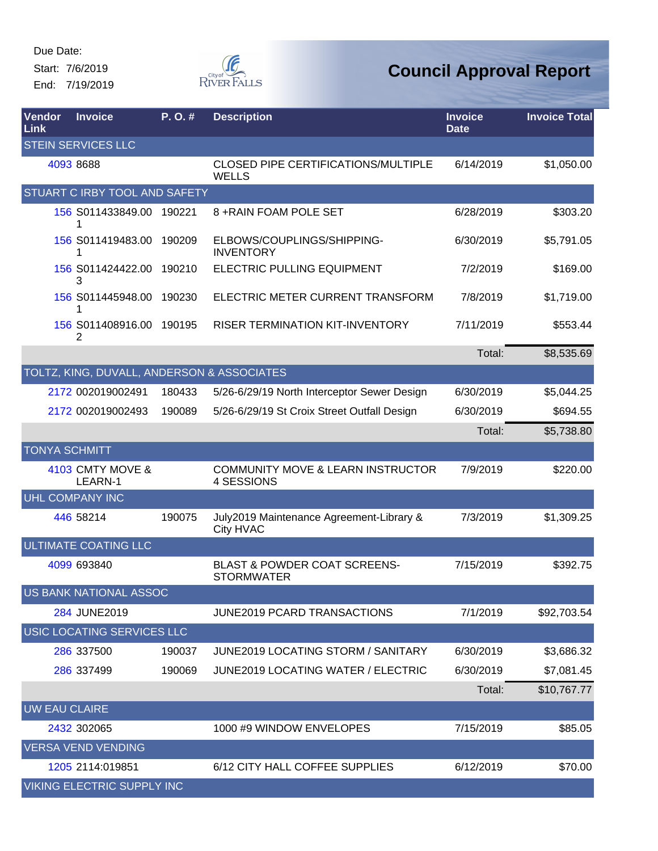Start: 7/6/2019 End: 7/19/2019



| Vendor<br>Link       | <b>Invoice</b>                             | P. O. # | <b>Description</b>                                           | <b>Invoice</b><br>Date | <b>Invoice Total</b> |
|----------------------|--------------------------------------------|---------|--------------------------------------------------------------|------------------------|----------------------|
|                      | <b>STEIN SERVICES LLC</b>                  |         |                                                              |                        |                      |
|                      | 4093 8688                                  |         | <b>CLOSED PIPE CERTIFICATIONS/MULTIPLE</b><br><b>WELLS</b>   | 6/14/2019              | \$1,050.00           |
|                      | STUART C IRBY TOOL AND SAFETY              |         |                                                              |                        |                      |
|                      | 156 S011433849.00 190221<br>1              |         | 8 + RAIN FOAM POLE SET                                       | 6/28/2019              | \$303.20             |
|                      | 156 S011419483.00 190209                   |         | ELBOWS/COUPLINGS/SHIPPING-<br><b>INVENTORY</b>               | 6/30/2019              | \$5,791.05           |
|                      | 156 S011424422.00 190210<br>3              |         | <b>ELECTRIC PULLING EQUIPMENT</b>                            | 7/2/2019               | \$169.00             |
|                      | 156 S011445948.00<br>1                     | 190230  | ELECTRIC METER CURRENT TRANSFORM                             | 7/8/2019               | \$1,719.00           |
|                      | 156 S011408916.00<br>2                     | 190195  | <b>RISER TERMINATION KIT-INVENTORY</b>                       | 7/11/2019              | \$553.44             |
|                      |                                            |         |                                                              | Total:                 | \$8,535.69           |
|                      | TOLTZ, KING, DUVALL, ANDERSON & ASSOCIATES |         |                                                              |                        |                      |
|                      | 2172 002019002491                          | 180433  | 5/26-6/29/19 North Interceptor Sewer Design                  | 6/30/2019              | \$5,044.25           |
|                      | 2172 002019002493                          | 190089  | 5/26-6/29/19 St Croix Street Outfall Design                  | 6/30/2019              | \$694.55             |
|                      |                                            |         |                                                              | Total:                 | \$5,738.80           |
| <b>TONYA SCHMITT</b> |                                            |         |                                                              |                        |                      |
|                      | 4103 CMTY MOVE &<br>LEARN-1                |         | <b>COMMUNITY MOVE &amp; LEARN INSTRUCTOR</b><br>4 SESSIONS   | 7/9/2019               | \$220.00             |
|                      | UHL COMPANY INC                            |         |                                                              |                        |                      |
|                      | 446 58214                                  | 190075  | July2019 Maintenance Agreement-Library &<br>City HVAC        | 7/3/2019               | \$1,309.25           |
|                      | <b>ULTIMATE COATING LLC</b>                |         |                                                              |                        |                      |
|                      | 4099 693840                                |         | <b>BLAST &amp; POWDER COAT SCREENS-</b><br><b>STORMWATER</b> | 7/15/2019              | \$392.75             |
|                      | US BANK NATIONAL ASSOC                     |         |                                                              |                        |                      |
|                      | 284 JUNE2019                               |         | <b>JUNE2019 PCARD TRANSACTIONS</b>                           | 7/1/2019               | \$92,703.54          |
|                      | USIC LOCATING SERVICES LLC                 |         |                                                              |                        |                      |
|                      | 286 337500                                 | 190037  | JUNE2019 LOCATING STORM / SANITARY                           | 6/30/2019              | \$3,686.32           |
|                      | 286 337499                                 | 190069  | <b>JUNE2019 LOCATING WATER / ELECTRIC</b>                    | 6/30/2019              | \$7,081.45           |
|                      |                                            |         |                                                              | Total:                 | \$10,767.77          |
| <b>UW EAU CLAIRE</b> |                                            |         |                                                              |                        |                      |
|                      | 2432 302065                                |         | 1000 #9 WINDOW ENVELOPES                                     | 7/15/2019              | \$85.05              |
|                      | <b>VERSA VEND VENDING</b>                  |         |                                                              |                        |                      |
|                      | 1205 2114:019851                           |         | 6/12 CITY HALL COFFEE SUPPLIES                               | 6/12/2019              | \$70.00              |
|                      | <b>VIKING ELECTRIC SUPPLY INC</b>          |         |                                                              |                        |                      |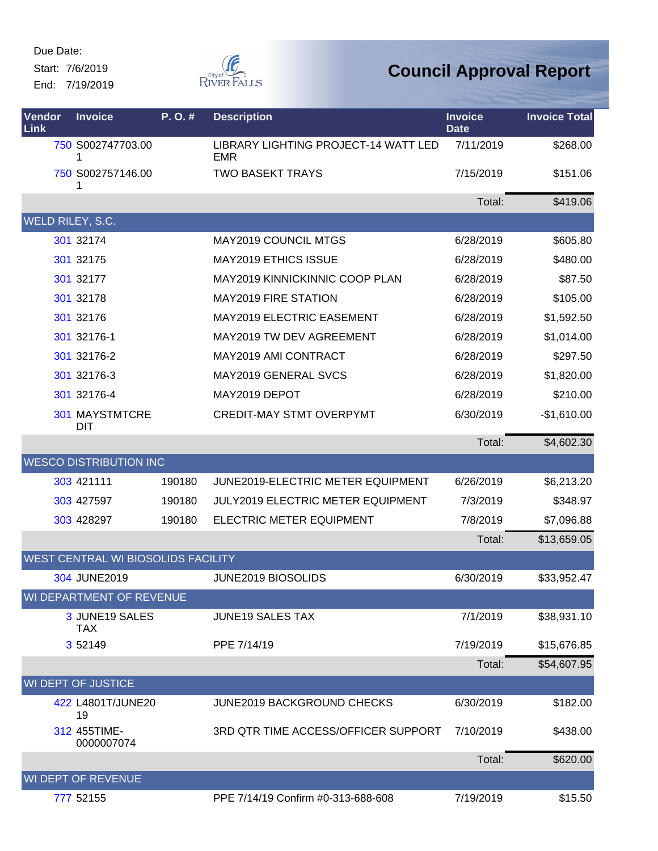Start: 7/6/2019

End: 7/19/2019



| Vendor<br>Link   | <b>Invoice</b>                            | P.O.#  | <b>Description</b>                                 | <b>Invoice</b><br><b>Date</b> | <b>Invoice Total</b> |
|------------------|-------------------------------------------|--------|----------------------------------------------------|-------------------------------|----------------------|
|                  | 750 S002747703.00<br>1                    |        | LIBRARY LIGHTING PROJECT-14 WATT LED<br><b>EMR</b> | 7/11/2019                     | \$268.00             |
|                  | 750 S002757146.00<br>1                    |        | <b>TWO BASEKT TRAYS</b>                            | 7/15/2019                     | \$151.06             |
|                  |                                           |        |                                                    | Total:                        | \$419.06             |
| WELD RILEY, S.C. |                                           |        |                                                    |                               |                      |
|                  | 301 32174                                 |        | <b>MAY2019 COUNCIL MTGS</b>                        | 6/28/2019                     | \$605.80             |
|                  | 301 32175                                 |        | <b>MAY2019 ETHICS ISSUE</b>                        | 6/28/2019                     | \$480.00             |
|                  | 301 32177                                 |        | MAY2019 KINNICKINNIC COOP PLAN                     | 6/28/2019                     | \$87.50              |
|                  | 301 32178                                 |        | <b>MAY2019 FIRE STATION</b>                        | 6/28/2019                     | \$105.00             |
|                  | 301 32176                                 |        | MAY2019 ELECTRIC EASEMENT                          | 6/28/2019                     | \$1,592.50           |
|                  | 301 32176-1                               |        | MAY2019 TW DEV AGREEMENT                           | 6/28/2019                     | \$1,014.00           |
|                  | 301 32176-2                               |        | MAY2019 AMI CONTRACT                               | 6/28/2019                     | \$297.50             |
|                  | 301 32176-3                               |        | MAY2019 GENERAL SVCS                               | 6/28/2019                     | \$1,820.00           |
|                  | 301 32176-4                               |        | MAY2019 DEPOT                                      | 6/28/2019                     | \$210.00             |
|                  | <b>301 MAYSTMTCRE</b><br>DIT              |        | <b>CREDIT-MAY STMT OVERPYMT</b>                    | 6/30/2019                     | $-$1,610.00$         |
|                  |                                           |        |                                                    | Total:                        | \$4,602.30           |
|                  | <b>WESCO DISTRIBUTION INC</b>             |        |                                                    |                               |                      |
|                  | 303 421111                                | 190180 | JUNE2019-ELECTRIC METER EQUIPMENT                  | 6/26/2019                     | \$6,213.20           |
|                  | 303 427597                                | 190180 | JULY2019 ELECTRIC METER EQUIPMENT                  | 7/3/2019                      | \$348.97             |
|                  | 303 428297                                | 190180 | ELECTRIC METER EQUIPMENT                           | 7/8/2019                      | \$7,096.88           |
|                  |                                           |        |                                                    | Total:                        | \$13,659.05          |
|                  | <b>WEST CENTRAL WI BIOSOLIDS FACILITY</b> |        |                                                    |                               |                      |
|                  | 304 JUNE2019                              |        | JUNE2019 BIOSOLIDS                                 | 6/30/2019                     | \$33,952.47          |
|                  | WI DEPARTMENT OF REVENUE                  |        |                                                    |                               |                      |
|                  | 3 JUNE19 SALES<br><b>TAX</b>              |        | <b>JUNE19 SALES TAX</b>                            | 7/1/2019                      | \$38,931.10          |
|                  | 3 5 2 1 4 9                               |        | PPE 7/14/19                                        | 7/19/2019                     | \$15,676.85          |
|                  |                                           |        |                                                    | Total:                        | \$54,607.95          |
|                  | WI DEPT OF JUSTICE                        |        |                                                    |                               |                      |
|                  | 422 L4801T/JUNE20<br>19                   |        | <b>JUNE2019 BACKGROUND CHECKS</b>                  | 6/30/2019                     | \$182.00             |
|                  | 312 455TIME-<br>0000007074                |        | 3RD QTR TIME ACCESS/OFFICER SUPPORT                | 7/10/2019                     | \$438.00             |
|                  |                                           |        |                                                    | Total:                        | \$620.00             |
|                  | WI DEPT OF REVENUE                        |        |                                                    |                               |                      |
|                  | 777 52155                                 |        | PPE 7/14/19 Confirm #0-313-688-608                 | 7/19/2019                     | \$15.50              |